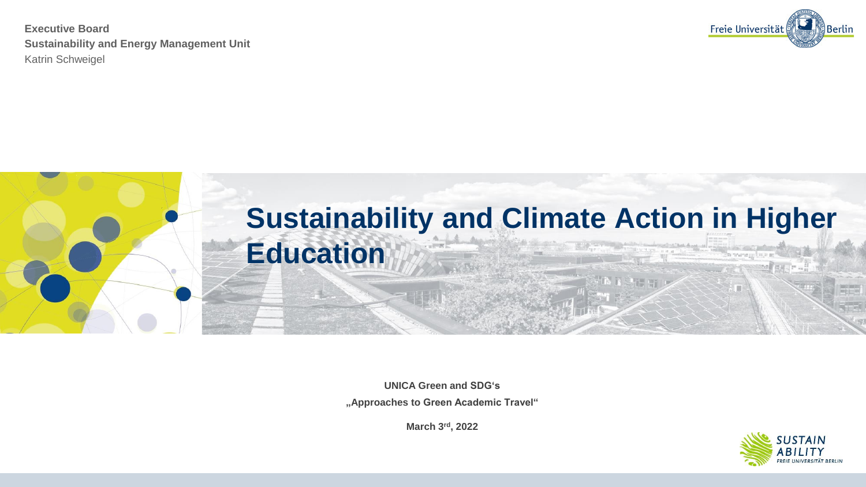

**Executive Board Sustainability and Energy Management Unit**  Katrin Schweigel

> **UNICA Green and SDG's "Approaches to Green Academic Travel"**

> > **March 3rd, 2022**



# n mara sel

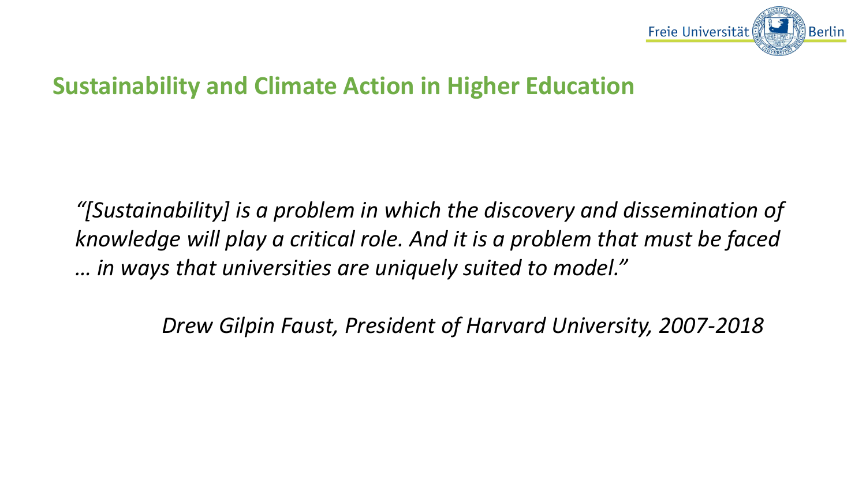## **Sustainability and Climate Action in Higher Education**

*"[Sustainability] is a problem in which the discovery and dissemination of knowledge will play a critical role. And it is a problem that must be faced … in ways that universities are uniquely suited to model."* 

*Drew Gilpin Faust, President of Harvard University, 2007-2018*

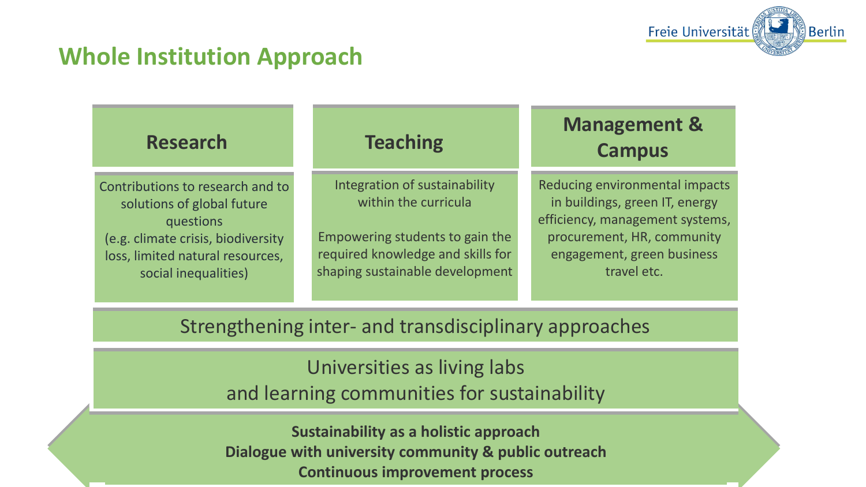## **Whole Institution Approach**

### **Research Teaching Research Teaching**

## **Management & Management & Campus Campus**

Contributions to research and to Contributions to research and to solutions of global future solutions of global future questions questions (e.g. climate crisis, biodiversity (e.g. climate crisis, biodiversity loss, limited natural resources, loss, limited natural resources, social inequalities) social inequalities)

Integration of sustainability Integration of sustainability within the curricula within the curricula

Empowering students to gain the Empowering students to gain the required knowledge and skills for required knowledge and skills for shaping sustainable development shaping sustainable development

Reducing environmental impacts Reducing environmental impacts in buildings, green IT, energy in buildings, green IT, energy efficiency, management systems, efficiency, management systems, procurement, HR, community procurement, HR, community engagement, green business engagement, green business travel etc. travel etc.

## Strengthening inter- and transdisciplinary approaches Strengthening inter- and transdisciplinary approaches

Universities as living labs Universities as living labs and learning communities for sustainability and learning communities for sustainability

**Sustainability as a holistic approach Sustainability as a holistic approach Dialogue with university community & public outreach Continuous improvement process Dialogue with university community & public outreach Continuous improvement process**



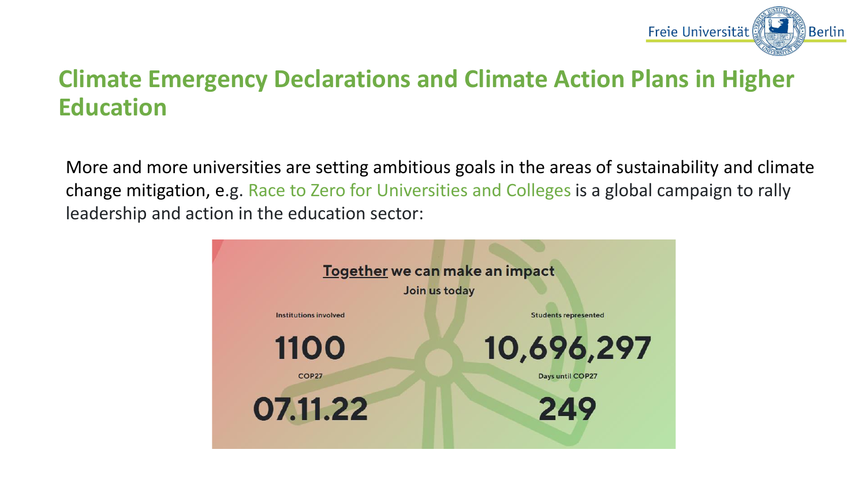## **Climate Emergency Declarations and Climate Action Plans in Higher Education**

More and more universities are setting ambitious goals in the areas of sustainability and climate change mitigation, e.g. Race to Zero for Universities and Colleges is a global campaign to rally leadership and action in the education sector:





Berlin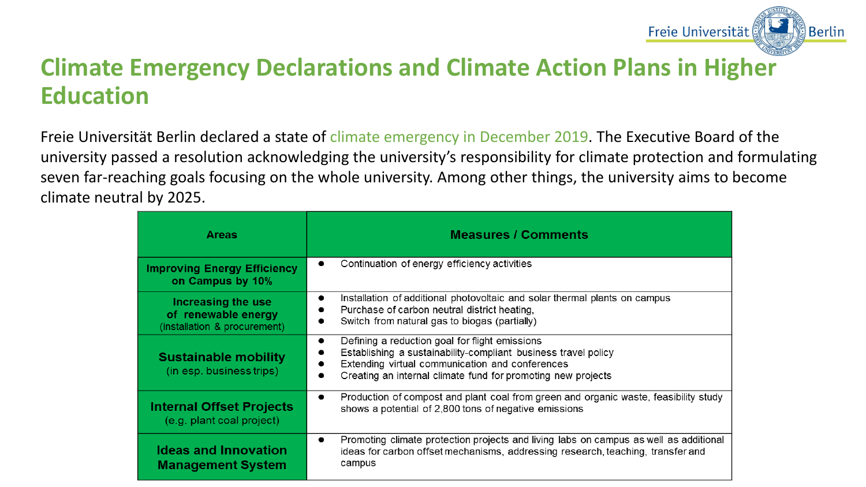## **Climate Emergency Declarations and Climate Action Plans in Higher Education**

Freie Universität Berlin declared a state of climate emergency in December 2019. The Executive Board of the university passed a resolution acknowledging the university's responsibility for climate protection and formulating seven far-reaching goals focusing on the whole university. Among other things, the university aims to become climate neutral by 2025.

| <b>Areas</b>                                                              | <b>Measures / Comments</b>                                                                                                                                                                                                                       |  |  |  |  |  |  |
|---------------------------------------------------------------------------|--------------------------------------------------------------------------------------------------------------------------------------------------------------------------------------------------------------------------------------------------|--|--|--|--|--|--|
| <b>Improving Energy Efficiency</b><br>on Campus by 10%                    | Continuation of energy efficiency activities<br>$\bullet$                                                                                                                                                                                        |  |  |  |  |  |  |
| Increasing the use<br>of renewable energy<br>(installation & procurement) | Installation of additional photovoltaic and solar thermal plants on campus<br>$\bullet$<br>Purchase of carbon neutral district heating,<br>Switch from natural gas to biogas (partially)                                                         |  |  |  |  |  |  |
| <b>Sustainable mobility</b><br>(in esp. business trips)                   | Defining a reduction goal for flight emissions<br>$\bullet$<br>Establishing a sustainability-compliant business travel policy<br>Extending virtual communication and conferences<br>Creating an internal climate fund for promoting new projects |  |  |  |  |  |  |
| <b>Internal Offset Projects</b><br>(e.g. plant coal project)              | Production of compost and plant coal from green and organic waste, feasibility study<br>$\bullet$<br>shows a potential of 2,800 tons of negative emissions                                                                                       |  |  |  |  |  |  |
| <b>Ideas and Innovation</b><br><b>Management System</b>                   | Promoting climate protection projects and living labs on campus as well as additional<br>$\bullet$<br>ideas for carbon offset mechanisms, addressing research, teaching, transfer and<br>campus                                                  |  |  |  |  |  |  |



**Berlin**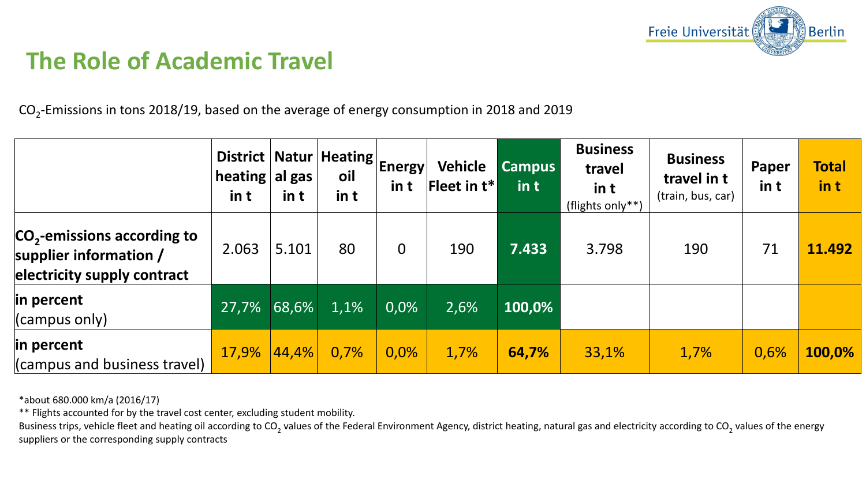# **The Role of Academic Travel**

 $\mathrm{CO}_2$ -Emissions in tons 2018/19, based on the average of energy consumption in 2018 and 2019

|                                                                                                    | District  <br>heating<br>in t | $ $ al gas<br>in t | LINatur   Heating   Energy<br>oil<br>in t | in t           | Vehicle<br><b>Fleet in <math>t^*</math></b> | <b>Campus</b><br>$\mathop{\mathsf{in}}$ t | <b>Business</b><br>travel<br>in t<br>(flights only**) | <b>Business</b><br>travel in t<br>(train, bus, car) | Paper<br>in t | <b>Total</b><br>in t |
|----------------------------------------------------------------------------------------------------|-------------------------------|--------------------|-------------------------------------------|----------------|---------------------------------------------|-------------------------------------------|-------------------------------------------------------|-----------------------------------------------------|---------------|----------------------|
| CO <sub>2</sub> -emissions according to<br>supplier information $/$<br>electricity supply contract | 2.063                         | 5.101              | 80                                        | $\overline{0}$ | 190                                         | 7.433                                     | 3.798                                                 | 190                                                 | 71            | 11.492               |
| in percent<br>(campus only)                                                                        | 27,7%                         | 68,6%              | 1,1%                                      | 0,0%           | 2,6%                                        | 100,0%                                    |                                                       |                                                     |               |                      |
| in percent<br>(campus and business travel)                                                         | 17,9%                         | 44,4%              | 0,7%                                      | $0,0\%$        | 1,7%                                        | 64,7%                                     | 33,1%                                                 | 1,7%                                                | 0,6%          | 100,0%               |

Business trips, vehicle fleet and heating oil according to CO<sub>2</sub> values of the Federal Environment Agency, district heating, natural gas and electricity according to CO<sub>2</sub> values of the energy suppliers or the corresponding supply contracts



\*about 680.000 km/a (2016/17)

\*\* Flights accounted for by the travel cost center, excluding student mobility.